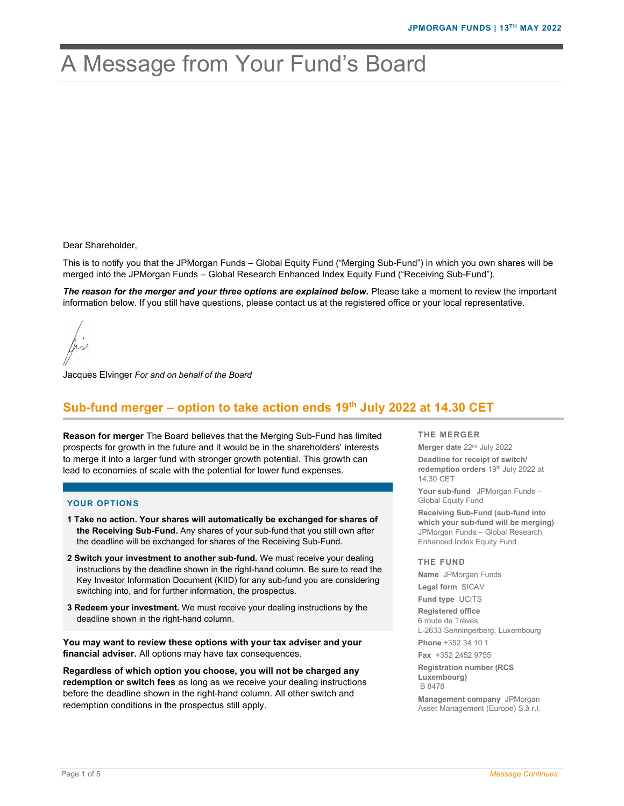# A Message from Your Fund's Board

Dear Shareholder,

This is to notify you that the JPMorgan Funds – Global Equity Fund ("Merging Sub-Fund") in which you own shares will be merged into the JPMorgan Funds – Global Research Enhanced Index Equity Fund ("Receiving Sub-Fund").

The reason for the merger and your three options are explained below. Please take a moment to review the important information below. If you still have questions, please contact us at the registered office or your local representative.

Jacques Elvinger For and on behalf of the Board

# Sub-fund merger - option to take action ends 19<sup>th</sup> July 2022 at 14.30 CET

Reason for merger The Board believes that the Merging Sub-Fund has limited prospects for growth in the future and it would be in the shareholders' interests to merge it into a larger fund with stronger growth potential. This growth can lead to economies of scale with the potential for lower fund expenses.

#### YOUR OPTIONS

- 1 Take no action. Your shares will automatically be exchanged for shares of the Receiving Sub-Fund. Any shares of your sub-fund that you still own after the deadline will be exchanged for shares of the Receiving Sub-Fund.
- 2 Switch your investment to another sub-fund. We must receive your dealing instructions by the deadline shown in the right-hand column. Be sure to read the Key Investor Information Document (KIID) for any sub-fund you are considering switching into, and for further information, the prospectus.
- 3 Redeem your investment. We must receive your dealing instructions by the deadline shown in the right-hand column.

You may want to review these options with your tax adviser and your financial adviser. All options may have tax consequences.

Regardless of which option you choose, you will not be charged any redemption or switch fees as long as we receive your dealing instructions before the deadline shown in the right-hand column. All other switch and redemption conditions in the prospectus still apply.

#### THE MERGER

Merger date 22<sup>nd</sup> July 2022 Deadline for receipt of switch/ redemption orders 19th July 2022 at 14.30 CET

Your sub-fund JPMorgan Funds -Global Equity Fund

Receiving Sub-Fund (sub-fund into which your sub-fund will be merging) JPMorgan Funds – Global Research Enhanced Index Equity Fund

#### THE FUND

Name JPMorgan Funds Legal form SICAV

Fund type UCITS

Registered office 6 route de Trèves L-2633 Senningerberg, Luxembourg

Phone +352 34 10 1

Fax +352 2452 9755 Registration number (RCS Luxembourg)

B 8478

Management company JPMorgan Asset Management (Europe) S.à r.l.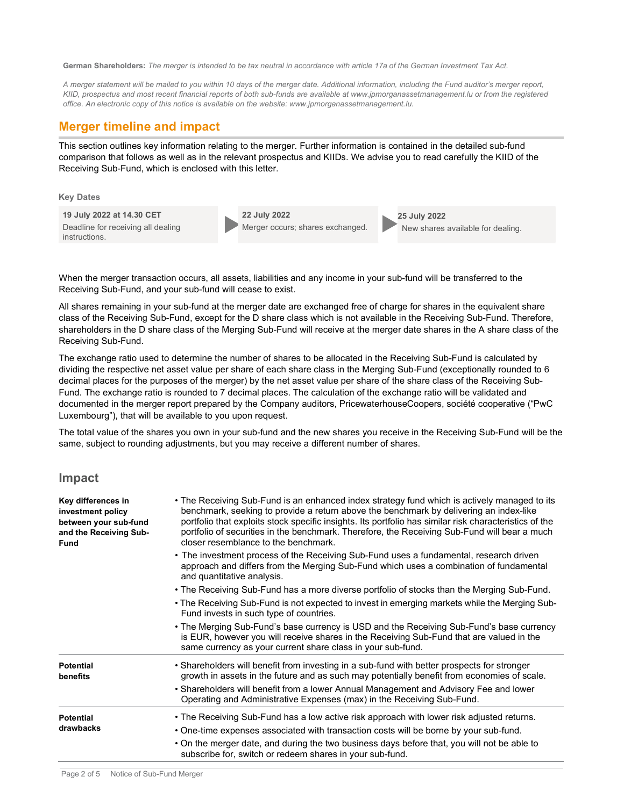German Shareholders: The merger is intended to be tax neutral in accordance with article 17a of the German Investment Tax Act.

A merger statement will be mailed to you within 10 days of the merger date. Additional information, including the Fund auditor's merger report, KIID, prospectus and most recent financial reports of both sub-funds are available at www.jpmorganassetmanagement.lu or from the registered office. An electronic copy of this notice is available on the website: www.jpmorganassetmanagement.lu.

# Merger timeline and impact

This section outlines key information relating to the merger. Further information is contained in the detailed sub-fund comparison that follows as well as in the relevant prospectus and KIIDs. We advise you to read carefully the KIID of the Receiving Sub-Fund, which is enclosed with this letter.

Key Dates



When the merger transaction occurs, all assets, liabilities and any income in your sub-fund will be transferred to the Receiving Sub-Fund, and your sub-fund will cease to exist.

All shares remaining in your sub-fund at the merger date are exchanged free of charge for shares in the equivalent share class of the Receiving Sub-Fund, except for the D share class which is not available in the Receiving Sub-Fund. Therefore, shareholders in the D share class of the Merging Sub-Fund will receive at the merger date shares in the A share class of the Receiving Sub-Fund.

The exchange ratio used to determine the number of shares to be allocated in the Receiving Sub-Fund is calculated by dividing the respective net asset value per share of each share class in the Merging Sub-Fund (exceptionally rounded to 6 decimal places for the purposes of the merger) by the net asset value per share of the share class of the Receiving Sub-Fund. The exchange ratio is rounded to 7 decimal places. The calculation of the exchange ratio will be validated and documented in the merger report prepared by the Company auditors, PricewaterhouseCoopers, société cooperative ("PwC Luxembourg"), that will be available to you upon request.

The total value of the shares you own in your sub-fund and the new shares you receive in the Receiving Sub-Fund will be the same, subject to rounding adjustments, but you may receive a different number of shares.

## Impact

| Key differences in<br>investment policy<br>between your sub-fund<br>and the Receiving Sub-<br><b>Fund</b> | • The Receiving Sub-Fund is an enhanced index strategy fund which is actively managed to its<br>benchmark, seeking to provide a return above the benchmark by delivering an index-like<br>portfolio that exploits stock specific insights. Its portfolio has similar risk characteristics of the<br>portfolio of securities in the benchmark. Therefore, the Receiving Sub-Fund will bear a much<br>closer resemblance to the benchmark. |
|-----------------------------------------------------------------------------------------------------------|------------------------------------------------------------------------------------------------------------------------------------------------------------------------------------------------------------------------------------------------------------------------------------------------------------------------------------------------------------------------------------------------------------------------------------------|
|                                                                                                           | • The investment process of the Receiving Sub-Fund uses a fundamental, research driven<br>approach and differs from the Merging Sub-Fund which uses a combination of fundamental<br>and quantitative analysis.                                                                                                                                                                                                                           |
|                                                                                                           | • The Receiving Sub-Fund has a more diverse portfolio of stocks than the Merging Sub-Fund.                                                                                                                                                                                                                                                                                                                                               |
|                                                                                                           | • The Receiving Sub-Fund is not expected to invest in emerging markets while the Merging Sub-<br>Fund invests in such type of countries.                                                                                                                                                                                                                                                                                                 |
|                                                                                                           | • The Merging Sub-Fund's base currency is USD and the Receiving Sub-Fund's base currency<br>is EUR, however you will receive shares in the Receiving Sub-Fund that are valued in the<br>same currency as your current share class in your sub-fund.                                                                                                                                                                                      |
| <b>Potential</b><br>benefits                                                                              | • Shareholders will benefit from investing in a sub-fund with better prospects for stronger<br>growth in assets in the future and as such may potentially benefit from economies of scale.                                                                                                                                                                                                                                               |
|                                                                                                           | • Shareholders will benefit from a lower Annual Management and Advisory Fee and lower<br>Operating and Administrative Expenses (max) in the Receiving Sub-Fund.                                                                                                                                                                                                                                                                          |
| <b>Potential</b>                                                                                          | • The Receiving Sub-Fund has a low active risk approach with lower risk adjusted returns.                                                                                                                                                                                                                                                                                                                                                |
| drawbacks                                                                                                 | • One-time expenses associated with transaction costs will be borne by your sub-fund.                                                                                                                                                                                                                                                                                                                                                    |
|                                                                                                           | • On the merger date, and during the two business days before that, you will not be able to<br>subscribe for, switch or redeem shares in your sub-fund.                                                                                                                                                                                                                                                                                  |
|                                                                                                           |                                                                                                                                                                                                                                                                                                                                                                                                                                          |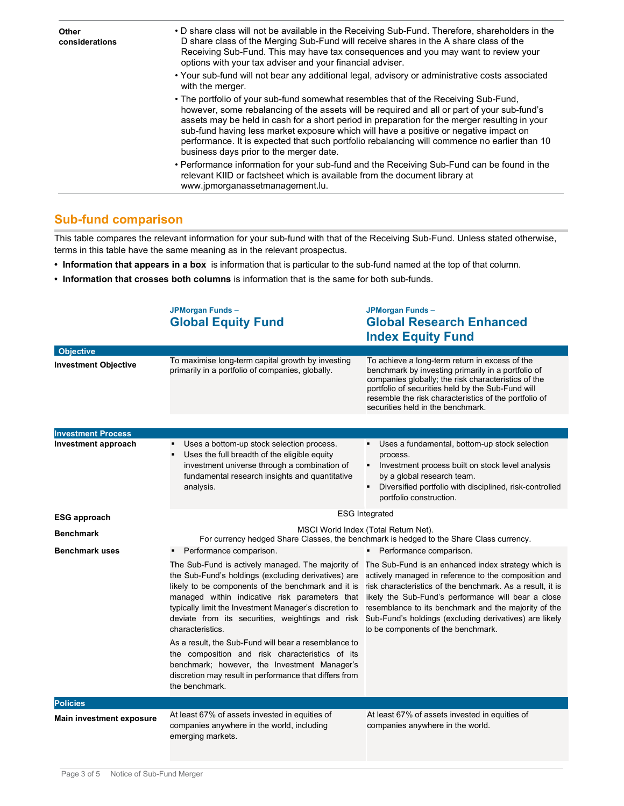| <b>Other</b><br>considerations | • D share class will not be available in the Receiving Sub-Fund. Therefore, shareholders in the<br>D share class of the Merging Sub-Fund will receive shares in the A share class of the<br>Receiving Sub-Fund. This may have tax consequences and you may want to review your<br>options with your tax adviser and your financial adviser.                                                                                                                                                                             |
|--------------------------------|-------------------------------------------------------------------------------------------------------------------------------------------------------------------------------------------------------------------------------------------------------------------------------------------------------------------------------------------------------------------------------------------------------------------------------------------------------------------------------------------------------------------------|
|                                | • Your sub-fund will not bear any additional legal, advisory or administrative costs associated<br>with the merger.                                                                                                                                                                                                                                                                                                                                                                                                     |
|                                | • The portfolio of your sub-fund somewhat resembles that of the Receiving Sub-Fund,<br>however, some rebalancing of the assets will be required and all or part of your sub-fund's<br>assets may be held in cash for a short period in preparation for the merger resulting in your<br>sub-fund having less market exposure which will have a positive or negative impact on<br>performance. It is expected that such portfolio rebalancing will commence no earlier than 10<br>business days prior to the merger date. |
|                                | • Performance information for your sub-fund and the Receiving Sub-Fund can be found in the<br>relevant KIID or factsheet which is available from the document library at<br>www.jpmorganassetmanagement.lu.                                                                                                                                                                                                                                                                                                             |

# Sub-fund comparison

This table compares the relevant information for your sub-fund with that of the Receiving Sub-Fund. Unless stated otherwise, terms in this table have the same meaning as in the relevant prospectus.

- Information that appears in a box is information that is particular to the sub-fund named at the top of that column.
- Information that crosses both columns is information that is the same for both sub-funds.

|                                 | <b>JPMorgan Funds-</b><br><b>Global Equity Fund</b>                                                                                                                                                                                         | JPMorgan Funds-<br><b>Global Research Enhanced</b><br><b>Index Equity Fund</b>                                                                                                                                                                                                                                                                                                                                                                                                           |  |
|---------------------------------|---------------------------------------------------------------------------------------------------------------------------------------------------------------------------------------------------------------------------------------------|------------------------------------------------------------------------------------------------------------------------------------------------------------------------------------------------------------------------------------------------------------------------------------------------------------------------------------------------------------------------------------------------------------------------------------------------------------------------------------------|--|
| <b>Objective</b>                |                                                                                                                                                                                                                                             |                                                                                                                                                                                                                                                                                                                                                                                                                                                                                          |  |
| <b>Investment Objective</b>     | To maximise long-term capital growth by investing<br>primarily in a portfolio of companies, globally.                                                                                                                                       | To achieve a long-term return in excess of the<br>benchmark by investing primarily in a portfolio of<br>companies globally; the risk characteristics of the<br>portfolio of securities held by the Sub-Fund will<br>resemble the risk characteristics of the portfolio of<br>securities held in the benchmark.                                                                                                                                                                           |  |
| <b>Investment Process</b>       |                                                                                                                                                                                                                                             |                                                                                                                                                                                                                                                                                                                                                                                                                                                                                          |  |
| Investment approach             | Uses a bottom-up stock selection process.<br>Uses the full breadth of the eligible equity<br>investment universe through a combination of<br>fundamental research insights and quantitative<br>analysis.                                    | Uses a fundamental, bottom-up stock selection<br>٠<br>process.<br>Investment process built on stock level analysis<br>by a global research team.<br>Diversified portfolio with disciplined, risk-controlled<br>portfolio construction.                                                                                                                                                                                                                                                   |  |
| <b>ESG approach</b>             | <b>ESG Integrated</b>                                                                                                                                                                                                                       |                                                                                                                                                                                                                                                                                                                                                                                                                                                                                          |  |
| <b>Benchmark</b>                | MSCI World Index (Total Return Net).<br>For currency hedged Share Classes, the benchmark is hedged to the Share Class currency.                                                                                                             |                                                                                                                                                                                                                                                                                                                                                                                                                                                                                          |  |
| <b>Benchmark uses</b>           | Performance comparison.<br>٠                                                                                                                                                                                                                | • Performance comparison.                                                                                                                                                                                                                                                                                                                                                                                                                                                                |  |
|                                 | the Sub-Fund's holdings (excluding derivatives) are<br>likely to be components of the benchmark and it is<br>typically limit the Investment Manager's discretion to<br>deviate from its securities, weightings and risk<br>characteristics. | The Sub-Fund is actively managed. The majority of The Sub-Fund is an enhanced index strategy which is<br>actively managed in reference to the composition and<br>risk characteristics of the benchmark. As a result, it is<br>managed within indicative risk parameters that likely the Sub-Fund's performance will bear a close<br>resemblance to its benchmark and the majority of the<br>Sub-Fund's holdings (excluding derivatives) are likely<br>to be components of the benchmark. |  |
|                                 | As a result, the Sub-Fund will bear a resemblance to<br>the composition and risk characteristics of its<br>benchmark; however, the Investment Manager's<br>discretion may result in performance that differs from<br>the benchmark.         |                                                                                                                                                                                                                                                                                                                                                                                                                                                                                          |  |
| <b>Policies</b>                 |                                                                                                                                                                                                                                             |                                                                                                                                                                                                                                                                                                                                                                                                                                                                                          |  |
| <b>Main investment exposure</b> | At least 67% of assets invested in equities of<br>companies anywhere in the world, including<br>emerging markets.                                                                                                                           | At least 67% of assets invested in equities of<br>companies anywhere in the world.                                                                                                                                                                                                                                                                                                                                                                                                       |  |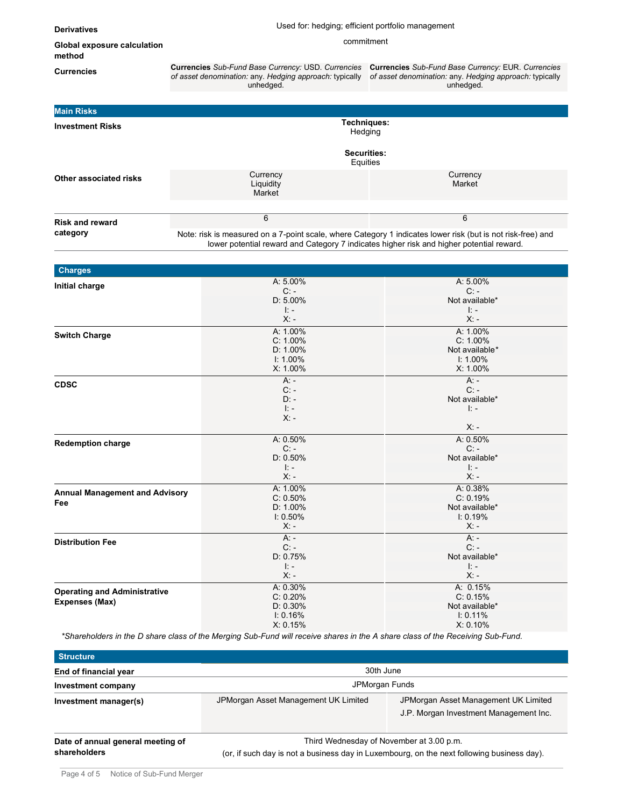| <b>Derivatives</b>                    | Used for: hedging; efficient portfolio management                                                                                                                                                       |                                                                                                                                   |  |
|---------------------------------------|---------------------------------------------------------------------------------------------------------------------------------------------------------------------------------------------------------|-----------------------------------------------------------------------------------------------------------------------------------|--|
| Global exposure calculation<br>method | commitment                                                                                                                                                                                              |                                                                                                                                   |  |
| <b>Currencies</b>                     | <b>Currencies</b> Sub-Fund Base Currency: USD. Currencies<br>of asset denomination: any. Hedging approach: typically<br>unhedged.                                                                       | <b>Currencies</b> Sub-Fund Base Currency: EUR. Currencies<br>of asset denomination: any. Hedging approach: typically<br>unhedged. |  |
|                                       |                                                                                                                                                                                                         |                                                                                                                                   |  |
| <b>Main Risks</b>                     |                                                                                                                                                                                                         |                                                                                                                                   |  |
| <b>Investment Risks</b>               | Techniques:<br>Hedging                                                                                                                                                                                  |                                                                                                                                   |  |
|                                       | <b>Securities:</b><br>Equities                                                                                                                                                                          |                                                                                                                                   |  |
| Other associated risks                | Currency<br>Liquidity<br>Market                                                                                                                                                                         | Currency<br>Market                                                                                                                |  |
|                                       |                                                                                                                                                                                                         |                                                                                                                                   |  |
| <b>Risk and reward</b>                | 6                                                                                                                                                                                                       | 6                                                                                                                                 |  |
| category                              | Note: risk is measured on a 7-point scale, where Category 1 indicates lower risk (but is not risk-free) and<br>lower potential reward and Category 7 indicates higher risk and higher potential reward. |                                                                                                                                   |  |

| <b>Charges</b>                                        |                                                                  |                                                                        |
|-------------------------------------------------------|------------------------------------------------------------------|------------------------------------------------------------------------|
| Initial charge                                        | A: 5.00%<br>$C -$<br>$D: 5.00\%$<br>$\mathbf{E}$<br>$X$ : -      | A: 5.00%<br>$C$ : -<br>Not available*<br>$\mathbf{E}$<br>$X -$         |
| <b>Switch Charge</b>                                  | A: 1.00%<br>$C: 1.00\%$<br>$D: 1.00\%$<br>$1:1.00\%$<br>X: 1.00% | A: 1.00%<br>$C: 1.00\%$<br>Not available*<br>$1:1.00\%$<br>$X: 1.00\%$ |
| <b>CDSC</b>                                           | $A: -$<br>$C: -$<br>$D: -$<br>$\mathbf{E}$<br>$X -$              | $A: -$<br>$C: -$<br>Not available*<br>$\mathbf{E}$<br>$X: -$           |
| <b>Redemption charge</b>                              | A: 0.50%<br>$C: -$<br>D: 0.50%<br>$\mathbf{E}$<br>$X -$          | A: 0.50%<br>$C$ : -<br>Not available*<br>$\mathbf{E}$<br>$X -$         |
| <b>Annual Management and Advisory</b><br>Fee          | A: 1.00%<br>$C: 0.50\%$<br>D: 1.00%<br>$I: 0.50\%$<br>$X -$      | A: 0.38%<br>C: 0.19%<br>Not available*<br>I: 0.19%<br>$X -$            |
| <b>Distribution Fee</b>                               | $A: -$<br>$C: -$<br>D: 0.75%<br>$\mathbf{E}$<br>$X -$            | $A: -$<br>$C: -$<br>Not available*<br>$\mathbf{E}$<br>$X -$            |
| <b>Operating and Administrative</b><br>Expenses (Max) | A: 0.30%<br>C: 0.20%<br>$D: 0.30\%$<br>I: 0.16%<br>X: 0.15%      | A: 0.15%<br>C: 0.15%<br>Not available*<br>I: 0.11%<br>$X: 0.10\%$      |

\*Shareholders in the D share class of the Merging Sub-Fund will receive shares in the A share class of the Receiving Sub-Fund.

| <b>Structure</b>                                  |                                                                                                                                        |                                                                                |  |
|---------------------------------------------------|----------------------------------------------------------------------------------------------------------------------------------------|--------------------------------------------------------------------------------|--|
| End of financial year                             | 30th June                                                                                                                              |                                                                                |  |
| Investment company                                | JPMorgan Funds                                                                                                                         |                                                                                |  |
| Investment manager(s)                             | JPMorgan Asset Management UK Limited                                                                                                   | JPMorgan Asset Management UK Limited<br>J.P. Morgan Investment Management Inc. |  |
| Date of annual general meeting of<br>shareholders | Third Wednesday of November at 3.00 p.m.<br>(or, if such day is not a business day in Luxembourg, on the next following business day). |                                                                                |  |